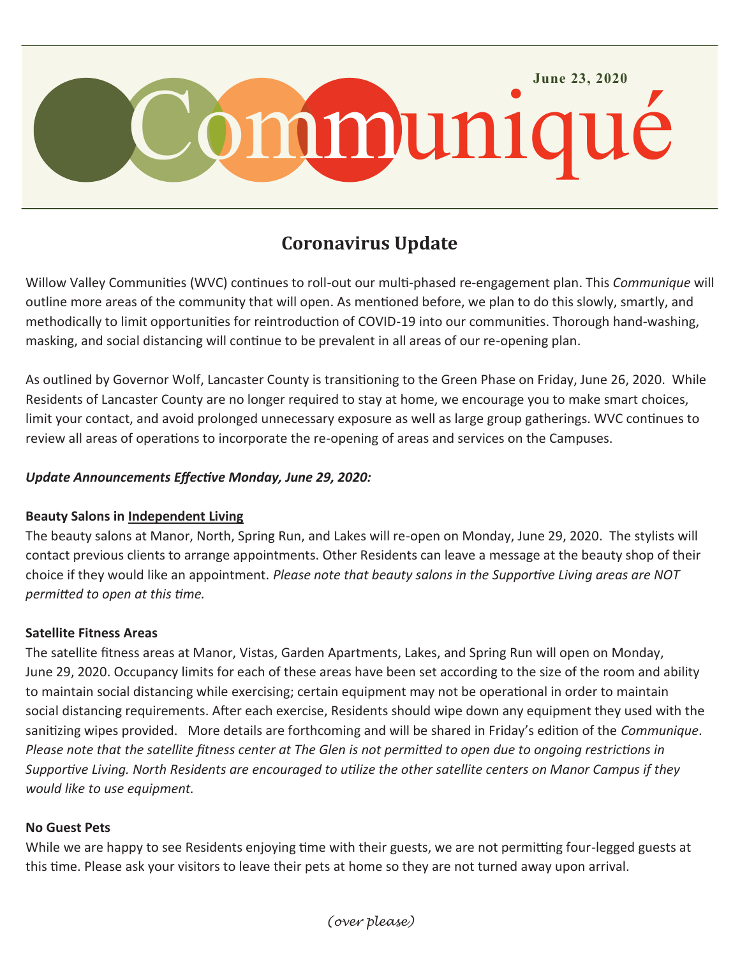

# **Coronavirus Update**

Willow Valley Communities (WVC) continues to roll-out our multi-phased re-engagement plan. This *Communique* will outline more areas of the community that will open. As mentioned before, we plan to do this slowly, smartly, and methodically to limit opportunities for reintroduction of COVID-19 into our communities. Thorough hand-washing, masking, and social distancing will continue to be prevalent in all areas of our re-opening plan.

As outlined by Governor Wolf, Lancaster County is transitioning to the Green Phase on Friday, June 26, 2020. While Residents of Lancaster County are no longer required to stay at home, we encourage you to make smart choices, limit your contact, and avoid prolonged unnecessary exposure as well as large group gatherings. WVC continues to review all areas of operations to incorporate the re-opening of areas and services on the Campuses.

## *Update Announcements Effective Monday, June 29, 2020:*

#### **Beauty Salons in Independent Living**

The beauty salons at Manor, North, Spring Run, and Lakes will re-open on Monday, June 29, 2020. The stylists will contact previous clients to arrange appointments. Other Residents can leave a message at the beauty shop of their choice if they would like an appointment. *Please note that beauty salons in the Supportive Living areas are NOT permitted to open at this time.* 

## **Satellite Fitness Areas**

The satellite fitness areas at Manor, Vistas, Garden Apartments, Lakes, and Spring Run will open on Monday, June 29, 2020. Occupancy limits for each of these areas have been set according to the size of the room and ability to maintain social distancing while exercising; certain equipment may not be operational in order to maintain social distancing requirements. After each exercise, Residents should wipe down any equipment they used with the sanitizing wipes provided. More details are forthcoming and will be shared in Friday's edition of the *Communique*. *Please note that the satellite fitness center at The Glen is not permitted to open due to ongoing restrictions in Supportive Living. North Residents are encouraged to utilize the other satellite centers on Manor Campus if they would like to use equipment.*

#### **No Guest Pets**

While we are happy to see Residents enjoying time with their guests, we are not permitting four-legged guests at this time. Please ask your visitors to leave their pets at home so they are not turned away upon arrival.